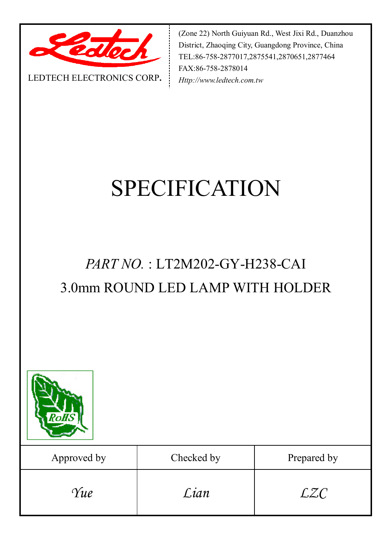

(Zone 22) North Guiyuan Rd., West Jixi Rd., Duanzhou District, Zhaoqing City, Guangdong Province, China TEL:86-758-2877017,2875541,2870651,2877464 FAX:86-758-2878014 *Http://www.ledtech.com.tw*

#### LEDTECH ELECTRONICS CORP**.**

# SPECIFICATION

## *PART NO.* : LT2M202-GY-H238-CAI 3.0mm ROUND LED LAMP WITH HOLDER



| Approved by | Checked by | Prepared by |
|-------------|------------|-------------|
| Yue         | Lian       | <i>LZC</i>  |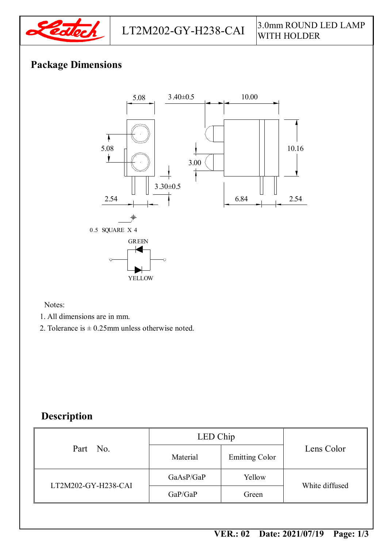

### **Package Dimensions**



Notes:

- 1. All dimensions are in mm.
- 2. Tolerance is  $\pm$  0.25mm unless otherwise noted.

#### **Description**

| Part No.            | LED Chip  |                       |                |  |
|---------------------|-----------|-----------------------|----------------|--|
|                     | Material  | <b>Emitting Color</b> | Lens Color     |  |
| LT2M202-GY-H238-CAI | GaAsP/GaP | Yellow                | White diffused |  |
|                     | GaP/GaP   | Green                 |                |  |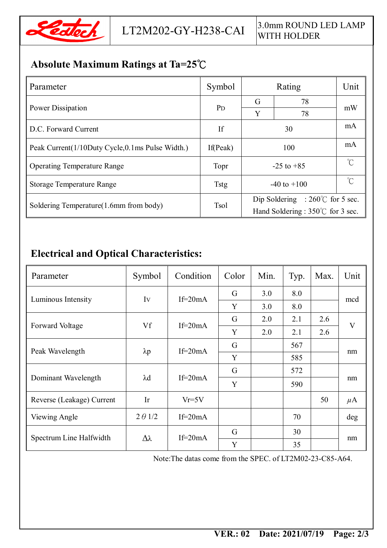

### **Absolute Maximum Ratings at Ta=25℃**

| Parameter                                          | Symbol      |                                           | Unit     |     |  |
|----------------------------------------------------|-------------|-------------------------------------------|----------|-----|--|
|                                                    |             | G                                         | 78       | mW  |  |
| Power Dissipation                                  | <b>PD</b>   | Y                                         | 78       |     |  |
| D.C. Forward Current                               | If          |                                           | mA       |     |  |
| Peak Current (1/10Duty Cycle, 0.1 ms Pulse Width.) | If(Peak)    |                                           | mA       |     |  |
| <b>Operating Temperature Range</b>                 | Topr        | $-25$ to $+85$                            | $\gamma$ |     |  |
| <b>Storage Temperature Range</b>                   | <b>Tstg</b> | $-40$ to $+100$                           |          | °∩° |  |
| Soldering Temperature (1.6mm from body)            | <b>Tsol</b> | Dip Soldering : $260^{\circ}$ for 5 sec.  |          |     |  |
|                                                    |             | Hand Soldering : $350^{\circ}$ for 3 sec. |          |     |  |

### **Electrical and Optical Characteristics:**

| Parameter                 | Symbol          | Condition   | Color | Min. | Typ. | Max. | Unit                    |
|---------------------------|-----------------|-------------|-------|------|------|------|-------------------------|
| Luminous Intensity        | Iv              | $If = 20mA$ | G     | 3.0  | 8.0  |      | mcd                     |
|                           |                 |             | Y     | 3.0  | 8.0  |      |                         |
| Forward Voltage           | Vf              | If= $20mA$  | G     | 2.0  | 2.1  | 2.6  | $\overline{\mathbf{V}}$ |
|                           |                 |             | Y     | 2.0  | 2.1  | 2.6  |                         |
| Peak Wavelength           | $\lambda p$     | $If=20mA$   | G     |      | 567  |      | nm                      |
|                           |                 |             | Y     |      | 585  |      |                         |
| Dominant Wavelength       | $\lambda$ d     | $If=20mA$   | G     |      | 572  |      | nm                      |
|                           |                 |             | Y     |      | 590  |      |                         |
| Reverse (Leakage) Current | Ir              | $Vr = 5V$   |       |      |      | 50   | $\mu$ A                 |
| Viewing Angle             | $2 \theta$ 1/2  | If= $20mA$  |       |      | 70   |      | deg                     |
| Spectrum Line Halfwidth   | $\Delta\lambda$ | $If=20mA$   | G     |      | 30   |      | nm                      |
|                           |                 |             | Y     |      | 35   |      |                         |

Note:The datas come from the SPEC. of LT2M02-23-C85-A64.